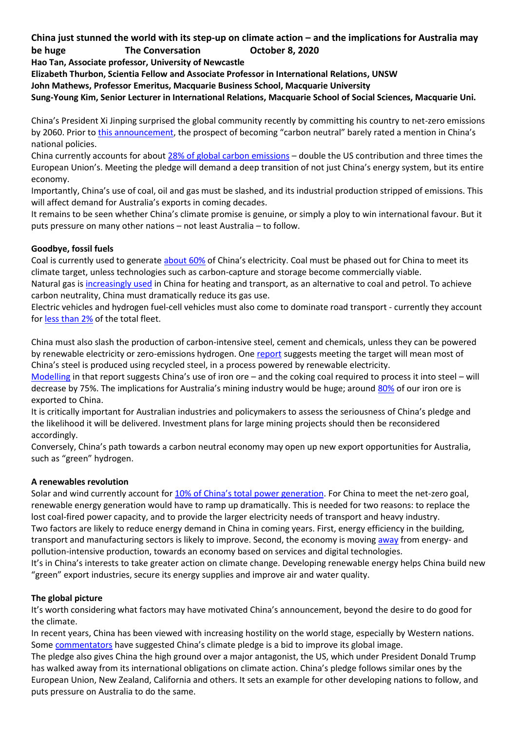## **China just stunned the world with its step-up on climate action – and the implications for Australia may be huge The Conversation October 8, 2020**

**Hao Tan, Associate professor, University of Newcastle**

**Elizabeth Thurbon, Scientia Fellow and Associate Professor in International Relations, UNSW**

**John Mathews, Professor Emeritus, Macquarie Business School, Macquarie University**

**Sung-Young Kim, Senior Lecturer in International Relations, Macquarie School of Social Sciences, Macquarie Uni.**

China's President Xi Jinping surprised the global community recently by committing his country to net-zero emissions by 2060. Prior to [this announcement](https://news.cgtn.com/news/2020-09-23/Full-text-Xi-Jinping-s-speech-at-General-Debate-of-UNGA-U07X2dn8Ag/index.html), the prospect of becoming "carbon neutral" barely rated a mention in China's national policies.

China currently accounts for about [28% of global carbon emissions](https://www.bp.com/content/dam/bp/business-sites/en/global/corporate/pdfs/energy-economics/statistical-review/bp-stats-review-2020-co2-emissions.pdf) – double the US contribution and three times the European Union's. Meeting the pledge will demand a deep transition of not just China's energy system, but its entire economy.

Importantly, China's use of coal, oil and gas must be slashed, and its industrial production stripped of emissions. This will affect demand for Australia's exports in coming decades.

It remains to be seen whether China's climate promise is genuine, or simply a ploy to win international favour. But it puts pressure on many other nations – not least Australia – to follow.

# **Goodbye, fossil fuels**

Coal is currently used to generate [about 60%](https://ieefa.org/coals-share-of-china-electricity-generation-dropped-below-60-in-2018/) of China's electricity. Coal must be phased out for China to meet its climate target, unless technologies such as carbon-capture and storage become commercially viable. Natural gas is [increasingly used](https://chineseclimatepolicy.energypolicy.columbia.edu/en/natural-gas) in China for heating and transport, as an alternative to coal and petrol. To achieve

carbon neutrality, China must dramatically reduce its gas use.

Electric vehicles and hydrogen fuel-cell vehicles must also come to dominate road transport - currently they account for [less than 2%](http://www.xinhuanet.com/fortune/2020-01/08/c_1125433202.htm) of the total fleet.

China must also slash the production of carbon-intensive steel, cement and chemicals, unless they can be powered by renewable electricity or zero-emissions hydrogen. One [report](https://www.energy-transitions.org/publications/china-2050-a-fully-developed-rich-zero-carbon-economy/) suggests meeting the target will mean most of China's steel is produced using recycled steel, in a process powered by renewable electricity.

[Modelling](https://www.energy-transitions.org/publications/china-2050-a-fully-developed-rich-zero-carbon-economy/) in that report suggests China's use of iron ore – and the coking coal required to process it into steel – will decrease by 75%. The implications for Australia's mining industry would be huge; around [80%](https://minerals.org.au/minerals/ironore) of our iron ore is exported to China.

It is critically important for Australian industries and policymakers to assess the seriousness of China's pledge and the likelihood it will be delivered. Investment plans for large mining projects should then be reconsidered accordingly.

Conversely, China's path towards a carbon neutral economy may open up new export opportunities for Australia, such as "green" hydrogen.

## **A renewables revolution**

Solar and wind currently account for [10% of China's total power generation](https://www.bp.com/en/global/corporate/energy-economics/statistical-review-of-world-energy.html). For China to meet the net-zero goal, renewable energy generation would have to ramp up dramatically. This is needed for two reasons: to replace the lost coal-fired power capacity, and to provide the larger electricity needs of transport and heavy industry. Two factors are likely to reduce energy demand in China in coming years. First, energy efficiency in the building, transport and manufacturing sectors is likely to improve. Second, the economy is moving [away](https://apjjf.org/2018/10/Tan.html) from energy- and pollution-intensive production, towards an economy based on services and digital technologies.

It's in China's interests to take greater action on climate change. Developing renewable energy helps China build new "green" export industries, secure its energy supplies and improve air and water quality.

## **The global picture**

It's worth considering what factors may have motivated China's announcement, beyond the desire to do good for the climate.

In recent years, China has been viewed with increasing hostility on the world stage, especially by Western nations. Some [commentators](https://www.japantimes.co.jp/news/2020/09/23/asia-pacific/china-carbon-neutral-2060/) have suggested China's climate pledge is a bid to improve its global image.

The pledge also gives China the high ground over a major antagonist, the US, which under President Donald Trump has walked away from its international obligations on climate action. China's pledge follows similar ones by the European Union, New Zealand, California and others. It sets an example for other developing nations to follow, and puts pressure on Australia to do the same.